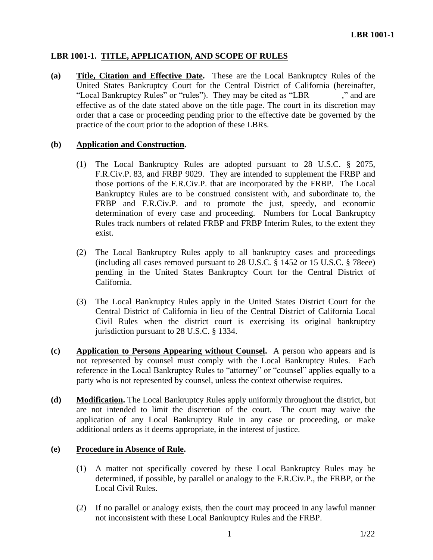# **LBR 1001-1. TITLE, APPLICATION, AND SCOPE OF RULES**

**(a) Title, Citation and Effective Date.** These are the Local Bankruptcy Rules of the United States Bankruptcy Court for the Central District of California (hereinafter, "Local Bankruptcy Rules" or "rules"). They may be cited as "LBR \_\_\_\_\_\_\_," and are effective as of the date stated above on the title page. The court in its discretion may order that a case or proceeding pending prior to the effective date be governed by the practice of the court prior to the adoption of these LBRs.

# **(b) Application and Construction.**

- (1) The Local Bankruptcy Rules are adopted pursuant to 28 U.S.C. § 2075, F.R.Civ.P. 83, and FRBP 9029. They are intended to supplement the FRBP and those portions of the F.R.Civ.P. that are incorporated by the FRBP. The Local Bankruptcy Rules are to be construed consistent with, and subordinate to, the FRBP and F.R.Civ.P. and to promote the just, speedy, and economic determination of every case and proceeding. Numbers for Local Bankruptcy Rules track numbers of related FRBP and FRBP Interim Rules, to the extent they exist.
- (2) The Local Bankruptcy Rules apply to all bankruptcy cases and proceedings (including all cases removed pursuant to 28 U.S.C. § 1452 or 15 U.S.C. § 78eee) pending in the United States Bankruptcy Court for the Central District of California.
- (3) The Local Bankruptcy Rules apply in the United States District Court for the Central District of California in lieu of the Central District of California Local Civil Rules when the district court is exercising its original bankruptcy jurisdiction pursuant to 28 U.S.C. § 1334.
- **(c) Application to Persons Appearing without Counsel.** A person who appears and is not represented by counsel must comply with the Local Bankruptcy Rules. Each reference in the Local Bankruptcy Rules to "attorney" or "counsel" applies equally to a party who is not represented by counsel, unless the context otherwise requires.
- **(d) Modification.** The Local Bankruptcy Rules apply uniformly throughout the district, but are not intended to limit the discretion of the court. The court may waive the application of any Local Bankruptcy Rule in any case or proceeding, or make additional orders as it deems appropriate, in the interest of justice.

# **(e) Procedure in Absence of Rule.**

- (1) A matter not specifically covered by these Local Bankruptcy Rules may be determined, if possible, by parallel or analogy to the F.R.Civ.P., the FRBP, or the Local Civil Rules.
- (2) If no parallel or analogy exists, then the court may proceed in any lawful manner not inconsistent with these Local Bankruptcy Rules and the FRBP.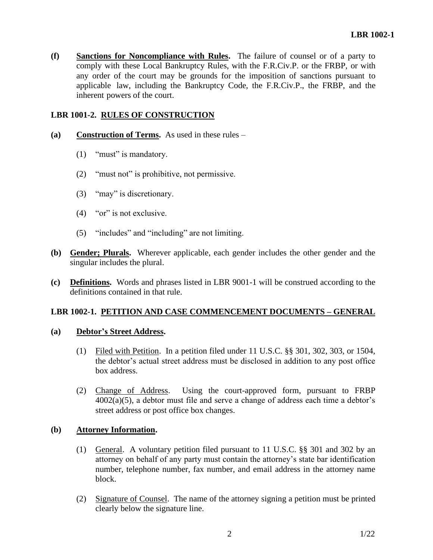**(f) Sanctions for Noncompliance with Rules.** The failure of counsel or of a party to comply with these Local Bankruptcy Rules, with the F.R.Civ.P. or the FRBP, or with any order of the court may be grounds for the imposition of sanctions pursuant to applicable law, including the Bankruptcy Code, the F.R.Civ.P., the FRBP, and the inherent powers of the court.

### **LBR 1001-2. RULES OF CONSTRUCTION**

- **(a) Construction of Terms.** As used in these rules
	- (1) "must" is mandatory.
	- (2) "must not" is prohibitive, not permissive.
	- (3) "may" is discretionary.
	- (4) "or" is not exclusive.
	- (5) "includes" and "including" are not limiting.
- **(b) Gender; Plurals.** Wherever applicable, each gender includes the other gender and the singular includes the plural.
- **(c) Definitions.** Words and phrases listed in LBR 9001-1 will be construed according to the definitions contained in that rule.

# **LBR 1002-1. PETITION AND CASE COMMENCEMENT DOCUMENTS – GENERAL**

#### **(a) Debtor's Street Address.**

- (1) Filed with Petition. In a petition filed under 11 U.S.C. §§ 301, 302, 303, or 1504, the debtor's actual street address must be disclosed in addition to any post office box address.
- (2) Change of Address. Using the court-approved form, pursuant to FRBP  $4002(a)(5)$ , a debtor must file and serve a change of address each time a debtor's street address or post office box changes.

#### **(b) Attorney Information.**

- (1) General. A voluntary petition filed pursuant to 11 U.S.C. §§ 301 and 302 by an attorney on behalf of any party must contain the attorney's state bar identification number, telephone number, fax number, and email address in the attorney name block.
- (2) Signature of Counsel. The name of the attorney signing a petition must be printed clearly below the signature line.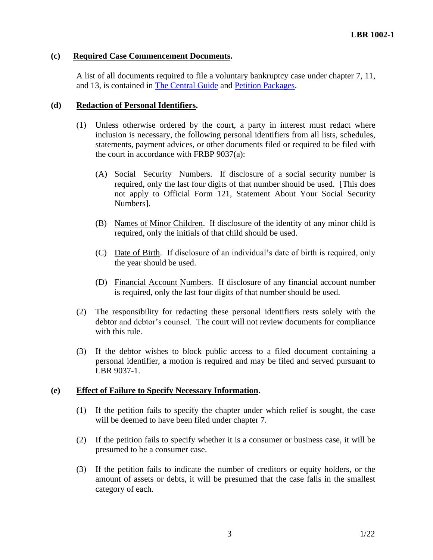## **(c) Required Case Commencement Documents.**

A list of all documents required to file a voluntary bankruptcy case under chapter 7, 11, and 13, is contained in [The Central Guide](https://www.cacb.uscourts.gov/the-central-guide) and [Petition Packages.](http://www.cacb.uscourts.gov/forms/petition_forms)

## **(d) Redaction of Personal Identifiers.**

- (1) Unless otherwise ordered by the court, a party in interest must redact where inclusion is necessary, the following personal identifiers from all lists, schedules, statements, payment advices, or other documents filed or required to be filed with the court in accordance with FRBP 9037(a):
	- (A) Social Security Numbers. If disclosure of a social security number is required, only the last four digits of that number should be used. [This does not apply to Official Form 121, Statement About Your Social Security Numbers].
	- (B) Names of Minor Children. If disclosure of the identity of any minor child is required, only the initials of that child should be used.
	- (C) Date of Birth. If disclosure of an individual's date of birth is required, only the year should be used.
	- (D) Financial Account Numbers. If disclosure of any financial account number is required, only the last four digits of that number should be used.
- (2) The responsibility for redacting these personal identifiers rests solely with the debtor and debtor's counsel. The court will not review documents for compliance with this rule.
- (3) If the debtor wishes to block public access to a filed document containing a personal identifier, a motion is required and may be filed and served pursuant to LBR 9037-1.

### **(e) Effect of Failure to Specify Necessary Information.**

- (1) If the petition fails to specify the chapter under which relief is sought, the case will be deemed to have been filed under chapter 7.
- (2) If the petition fails to specify whether it is a consumer or business case, it will be presumed to be a consumer case.
- (3) If the petition fails to indicate the number of creditors or equity holders, or the amount of assets or debts, it will be presumed that the case falls in the smallest category of each.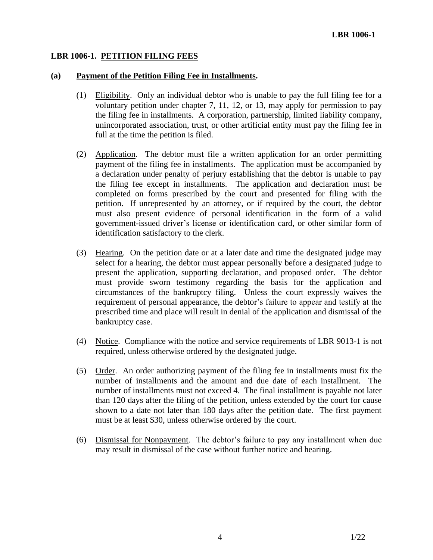## **LBR 1006-1. PETITION FILING FEES**

### **(a) Payment of the Petition Filing Fee in Installments.**

- (1) Eligibility. Only an individual debtor who is unable to pay the full filing fee for a voluntary petition under chapter 7, 11, 12, or 13, may apply for permission to pay the filing fee in installments. A corporation, partnership, limited liability company, unincorporated association, trust, or other artificial entity must pay the filing fee in full at the time the petition is filed.
- (2) Application. The debtor must file a written application for an order permitting payment of the filing fee in installments. The application must be accompanied by a declaration under penalty of perjury establishing that the debtor is unable to pay the filing fee except in installments. The application and declaration must be completed on forms prescribed by the court and presented for filing with the petition. If unrepresented by an attorney, or if required by the court, the debtor must also present evidence of personal identification in the form of a valid government-issued driver's license or identification card, or other similar form of identification satisfactory to the clerk.
- (3) Hearing. On the petition date or at a later date and time the designated judge may select for a hearing, the debtor must appear personally before a designated judge to present the application, supporting declaration, and proposed order. The debtor must provide sworn testimony regarding the basis for the application and circumstances of the bankruptcy filing. Unless the court expressly waives the requirement of personal appearance, the debtor's failure to appear and testify at the prescribed time and place will result in denial of the application and dismissal of the bankruptcy case.
- (4) Notice. Compliance with the notice and service requirements of LBR 9013-1 is not required, unless otherwise ordered by the designated judge.
- (5) Order. An order authorizing payment of the filing fee in installments must fix the number of installments and the amount and due date of each installment. The number of installments must not exceed 4. The final installment is payable not later than 120 days after the filing of the petition, unless extended by the court for cause shown to a date not later than 180 days after the petition date. The first payment must be at least \$30, unless otherwise ordered by the court.
- (6) Dismissal for Nonpayment. The debtor's failure to pay any installment when due may result in dismissal of the case without further notice and hearing.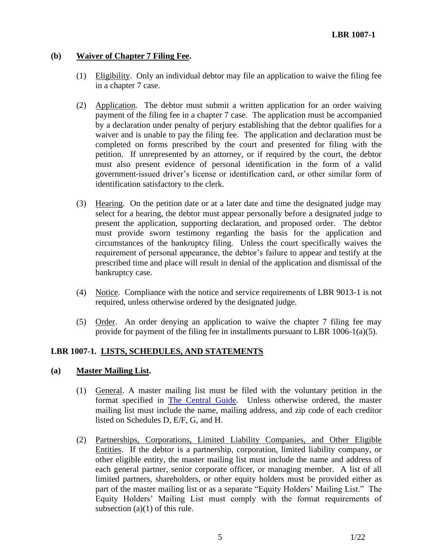# **(b) Waiver of Chapter 7 Filing Fee.**

- (1) Eligibility. Only an individual debtor may file an application to waive the filing fee in a chapter 7 case.
- (2) Application. The debtor must submit a written application for an order waiving payment of the filing fee in a chapter 7 case. The application must be accompanied by a declaration under penalty of perjury establishing that the debtor qualifies for a waiver and is unable to pay the filing fee. The application and declaration must be completed on forms prescribed by the court and presented for filing with the petition. If unrepresented by an attorney, or if required by the court, the debtor must also present evidence of personal identification in the form of a valid government-issued driver's license or identification card, or other similar form of identification satisfactory to the clerk.
- (3) Hearing. On the petition date or at a later date and time the designated judge may select for a hearing, the debtor must appear personally before a designated judge to present the application, supporting declaration, and proposed order. The debtor must provide sworn testimony regarding the basis for the application and circumstances of the bankruptcy filing. Unless the court specifically waives the requirement of personal appearance, the debtor's failure to appear and testify at the prescribed time and place will result in denial of the application and dismissal of the bankruptcy case.
- (4) Notice. Compliance with the notice and service requirements of LBR 9013-1 is not required, unless otherwise ordered by the designated judge.
- (5) Order. An order denying an application to waive the chapter 7 filing fee may provide for payment of the filing fee in installments pursuant to LBR 1006-1(a)(5).

### **LBR 1007-1. LISTS, SCHEDULES, AND STATEMENTS**

### **(a) Master Mailing List.**

- (1) General. A master mailing list must be filed with the voluntary petition in the format specified in [The Central Guide.](https://www.cacb.uscourts.gov/the-central-guide) Unless otherwise ordered, the master mailing list must include the name, mailing address, and zip code of each creditor listed on Schedules D, E/F, G, and H.
- (2) Partnerships, Corporations, Limited Liability Companies, and Other Eligible Entities. If the debtor is a partnership, corporation, limited liability company, or other eligible entity, the master mailing list must include the name and address of each general partner, senior corporate officer, or managing member. A list of all limited partners, shareholders, or other equity holders must be provided either as part of the master mailing list or as a separate "Equity Holders' Mailing List." The Equity Holders' Mailing List must comply with the format requirements of subsection  $(a)(1)$  of this rule.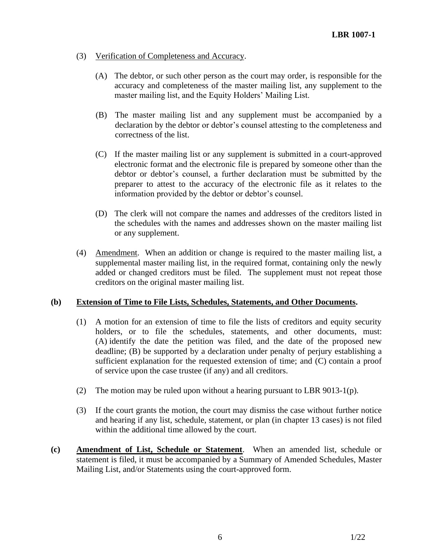- (3) Verification of Completeness and Accuracy.
	- (A) The debtor, or such other person as the court may order, is responsible for the accuracy and completeness of the master mailing list, any supplement to the master mailing list, and the Equity Holders' Mailing List.
	- (B) The master mailing list and any supplement must be accompanied by a declaration by the debtor or debtor's counsel attesting to the completeness and correctness of the list.
	- (C) If the master mailing list or any supplement is submitted in a court-approved electronic format and the electronic file is prepared by someone other than the debtor or debtor's counsel, a further declaration must be submitted by the preparer to attest to the accuracy of the electronic file as it relates to the information provided by the debtor or debtor's counsel.
	- (D) The clerk will not compare the names and addresses of the creditors listed in the schedules with the names and addresses shown on the master mailing list or any supplement.
- (4) Amendment. When an addition or change is required to the master mailing list, a supplemental master mailing list, in the required format, containing only the newly added or changed creditors must be filed. The supplement must not repeat those creditors on the original master mailing list.

### **(b) Extension of Time to File Lists, Schedules, Statements, and Other Documents.**

- (1) A motion for an extension of time to file the lists of creditors and equity security holders, or to file the schedules, statements, and other documents, must: (A) identify the date the petition was filed, and the date of the proposed new deadline; (B) be supported by a declaration under penalty of perjury establishing a sufficient explanation for the requested extension of time; and (C) contain a proof of service upon the case trustee (if any) and all creditors.
- (2) The motion may be ruled upon without a hearing pursuant to LBR 9013-1(p).
- (3) If the court grants the motion, the court may dismiss the case without further notice and hearing if any list, schedule, statement, or plan (in chapter 13 cases) is not filed within the additional time allowed by the court.
- **(c) Amendment of List, Schedule or Statement**. When an amended list, schedule or statement is filed, it must be accompanied by a Summary of Amended Schedules, Master Mailing List, and/or Statements using the court-approved form.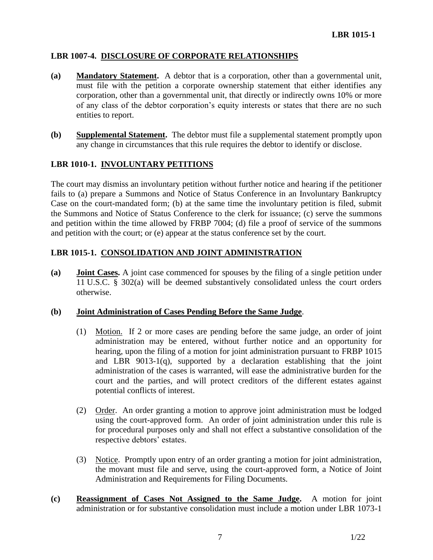# **LBR 1007-4. DISCLOSURE OF CORPORATE RELATIONSHIPS**

- **(a) Mandatory Statement.** A debtor that is a corporation, other than a governmental unit, must file with the petition a corporate ownership statement that either identifies any corporation, other than a governmental unit, that directly or indirectly owns 10% or more of any class of the debtor corporation's equity interests or states that there are no such entities to report.
- **(b) Supplemental Statement.** The debtor must file a supplemental statement promptly upon any change in circumstances that this rule requires the debtor to identify or disclose.

## **LBR 1010-1. INVOLUNTARY PETITIONS**

The court may dismiss an involuntary petition without further notice and hearing if the petitioner fails to (a) prepare a Summons and Notice of Status Conference in an Involuntary Bankruptcy Case on the court-mandated form; (b) at the same time the involuntary petition is filed, submit the Summons and Notice of Status Conference to the clerk for issuance; (c) serve the summons and petition within the time allowed by FRBP 7004; (d) file a proof of service of the summons and petition with the court; or (e) appear at the status conference set by the court.

# **LBR 1015-1. CONSOLIDATION AND JOINT ADMINISTRATION**

**(a) Joint Cases.** A joint case commenced for spouses by the filing of a single petition under 11 U.S.C. § 302(a) will be deemed substantively consolidated unless the court orders otherwise.

### **(b) Joint Administration of Cases Pending Before the Same Judge**.

- (1) Motion.If 2 or more cases are pending before the same judge, an order of joint administration may be entered, without further notice and an opportunity for hearing, upon the filing of a motion for joint administration pursuant to FRBP 1015 and LBR  $9013-1(q)$ , supported by a declaration establishing that the joint administration of the cases is warranted, will ease the administrative burden for the court and the parties, and will protect creditors of the different estates against potential conflicts of interest.
- (2) Order.An order granting a motion to approve joint administration must be lodged using the court-approved form. An order of joint administration under this rule is for procedural purposes only and shall not effect a substantive consolidation of the respective debtors' estates.
- (3) Notice. Promptly upon entry of an order granting a motion for joint administration, the movant must file and serve, using the court-approved form, a Notice of Joint Administration and Requirements for Filing Documents.
- **(c) Reassignment of Cases Not Assigned to the Same Judge.** A motion for joint administration or for substantive consolidation must include a motion under LBR 1073-1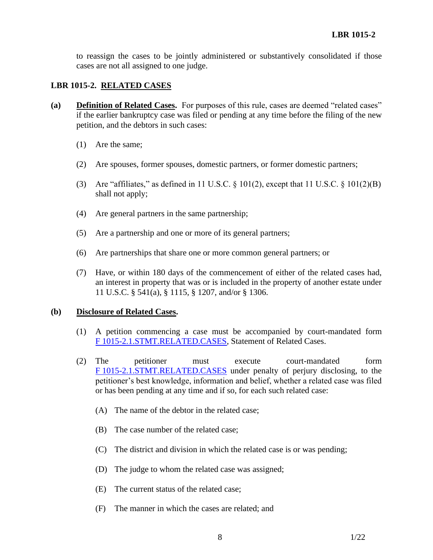to reassign the cases to be jointly administered or substantively consolidated if those cases are not all assigned to one judge.

# **LBR 1015-2. RELATED CASES**

- **(a) Definition of Related Cases.** For purposes of this rule, cases are deemed "related cases" if the earlier bankruptcy case was filed or pending at any time before the filing of the new petition, and the debtors in such cases:
	- (1) Are the same;
	- (2) Are spouses, former spouses, domestic partners, or former domestic partners;
	- (3) Are "affiliates," as defined in 11 U.S.C.  $\S$  101(2), except that 11 U.S.C.  $\S$  101(2)(B) shall not apply;
	- (4) Are general partners in the same partnership;
	- (5) Are a partnership and one or more of its general partners;
	- (6) Are partnerships that share one or more common general partners; or
	- (7) Have, or within 180 days of the commencement of either of the related cases had, an interest in property that was or is included in the property of another estate under 11 U.S.C. § 541(a), § 1115, § 1207, and/or § 1306.

### **(b) Disclosure of Related Cases.**

- (1) A petition commencing a case must be accompanied by court-mandated form F [1015-2.1.STMT.RELATED.CASES,](http://www.cacb.uscourts.gov/forms/statement-related-cases-0) Statement of Related Cases.
- (2) The petitioner must execute court-mandated form F [1015-2.1.STMT.RELATED.CASES](http://www.cacb.uscourts.gov/forms/statement-related-cases-0) under penalty of perjury disclosing, to the petitioner's best knowledge, information and belief, whether a related case was filed or has been pending at any time and if so, for each such related case:
	- (A) The name of the debtor in the related case;
	- (B) The case number of the related case;
	- (C) The district and division in which the related case is or was pending;
	- (D) The judge to whom the related case was assigned;
	- (E) The current status of the related case;
	- (F) The manner in which the cases are related; and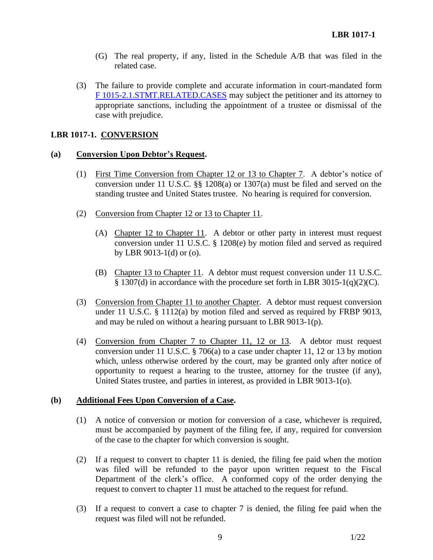- (G) The real property, if any, listed in the Schedule A/B that was filed in the related case.
- (3) The failure to provide complete and accurate information in court-mandated form F [1015-2.1.STMT.RELATED.CASES](http://www.cacb.uscourts.gov/forms/statement-related-cases-0) may subject the petitioner and its attorney to appropriate sanctions, including the appointment of a trustee or dismissal of the case with prejudice.

# **LBR 1017-1. CONVERSION**

## **(a) Conversion Upon Debtor's Request.**

- (1) First Time Conversion from Chapter 12 or 13 to Chapter 7. A debtor's notice of conversion under 11 U.S.C. §§ 1208(a) or 1307(a) must be filed and served on the standing trustee and United States trustee. No hearing is required for conversion.
- (2) Conversion from Chapter 12 or 13 to Chapter 11.
	- (A) Chapter 12 to Chapter 11. A debtor or other party in interest must request conversion under 11 U.S.C. § 1208(e) by motion filed and served as required by LBR 9013-1(d) or (o).
	- (B) Chapter 13 to Chapter 11. A debtor must request conversion under 11 U.S.C. § 1307(d) in accordance with the procedure set forth in LBR 3015-1(q)(2)(C).
- (3) Conversion from Chapter 11 to another Chapter. A debtor must request conversion under 11 U.S.C. § 1112(a) by motion filed and served as required by FRBP 9013, and may be ruled on without a hearing pursuant to LBR 9013-1(p).
- (4) Conversion from Chapter 7 to Chapter 11, 12 or 13. A debtor must request conversion under 11 U.S.C.  $\S 706(a)$  to a case under chapter 11, 12 or 13 by motion which, unless otherwise ordered by the court, may be granted only after notice of opportunity to request a hearing to the trustee, attorney for the trustee (if any), United States trustee, and parties in interest, as provided in LBR 9013-1(o).

# **(b) Additional Fees Upon Conversion of a Case.**

- (1) A notice of conversion or motion for conversion of a case, whichever is required, must be accompanied by payment of the filing fee, if any, required for conversion of the case to the chapter for which conversion is sought.
- (2) If a request to convert to chapter 11 is denied, the filing fee paid when the motion was filed will be refunded to the payor upon written request to the Fiscal Department of the clerk's office. A conformed copy of the order denying the request to convert to chapter 11 must be attached to the request for refund.
- (3) If a request to convert a case to chapter 7 is denied, the filing fee paid when the request was filed will not be refunded.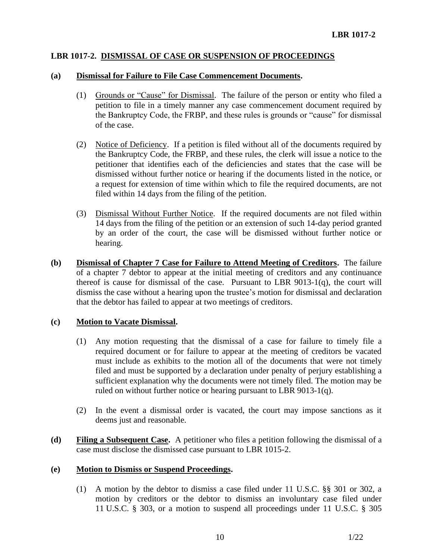## **LBR 1017-2. DISMISSAL OF CASE OR SUSPENSION OF PROCEEDINGS**

#### **(a) Dismissal for Failure to File Case Commencement Documents.**

- (1) Grounds or "Cause" for Dismissal. The failure of the person or entity who filed a petition to file in a timely manner any case commencement document required by the Bankruptcy Code, the FRBP, and these rules is grounds or "cause" for dismissal of the case.
- (2) Notice of Deficiency. If a petition is filed without all of the documents required by the Bankruptcy Code, the FRBP, and these rules, the clerk will issue a notice to the petitioner that identifies each of the deficiencies and states that the case will be dismissed without further notice or hearing if the documents listed in the notice, or a request for extension of time within which to file the required documents, are not filed within 14 days from the filing of the petition.
- (3) Dismissal Without Further Notice. If the required documents are not filed within 14 days from the filing of the petition or an extension of such 14-day period granted by an order of the court, the case will be dismissed without further notice or hearing.
- **(b) Dismissal of Chapter 7 Case for Failure to Attend Meeting of Creditors.** The failure of a chapter 7 debtor to appear at the initial meeting of creditors and any continuance thereof is cause for dismissal of the case. Pursuant to LBR 9013-1(q), the court will dismiss the case without a hearing upon the trustee's motion for dismissal and declaration that the debtor has failed to appear at two meetings of creditors.

### **(c) Motion to Vacate Dismissal.**

- (1) Any motion requesting that the dismissal of a case for failure to timely file a required document or for failure to appear at the meeting of creditors be vacated must include as exhibits to the motion all of the documents that were not timely filed and must be supported by a declaration under penalty of perjury establishing a sufficient explanation why the documents were not timely filed. The motion may be ruled on without further notice or hearing pursuant to LBR 9013-1(q).
- (2) In the event a dismissal order is vacated, the court may impose sanctions as it deems just and reasonable.
- **(d) Filing a Subsequent Case.** A petitioner who files a petition following the dismissal of a case must disclose the dismissed case pursuant to LBR 1015-2.

### **(e) Motion to Dismiss or Suspend Proceedings.**

(1) A motion by the debtor to dismiss a case filed under 11 U.S.C. §§ 301 or 302, a motion by creditors or the debtor to dismiss an involuntary case filed under 11 U.S.C. § 303, or a motion to suspend all proceedings under 11 U.S.C. § 305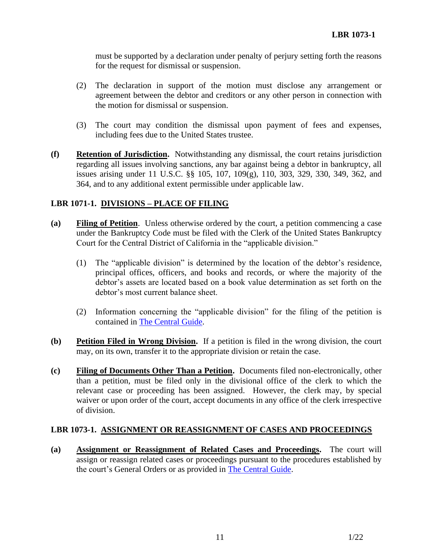must be supported by a declaration under penalty of perjury setting forth the reasons for the request for dismissal or suspension.

- (2) The declaration in support of the motion must disclose any arrangement or agreement between the debtor and creditors or any other person in connection with the motion for dismissal or suspension.
- (3) The court may condition the dismissal upon payment of fees and expenses, including fees due to the United States trustee.
- **(f) Retention of Jurisdiction.** Notwithstanding any dismissal, the court retains jurisdiction regarding all issues involving sanctions, any bar against being a debtor in bankruptcy, all issues arising under 11 U.S.C. §§ 105, 107, 109(g), 110, 303, 329, 330, 349, 362, and 364, and to any additional extent permissible under applicable law.

## **LBR 1071-1. DIVISIONS – PLACE OF FILING**

- **(a) Filing of Petition**. Unless otherwise ordered by the court, a petition commencing a case under the Bankruptcy Code must be filed with the Clerk of the United States Bankruptcy Court for the Central District of California in the "applicable division."
	- (1) The "applicable division" is determined by the location of the debtor's residence, principal offices, officers, and books and records, or where the majority of the debtor's assets are located based on a book value determination as set forth on the debtor's most current balance sheet.
	- (2) Information concerning the "applicable division" for the filing of the petition is contained in [The Central Guide.](https://www.cacb.uscourts.gov/the-central-guide)
- **(b) Petition Filed in Wrong Division.** If a petition is filed in the wrong division, the court may, on its own, transfer it to the appropriate division or retain the case.
- **(c) Filing of Documents Other Than a Petition.** Documents filed non-electronically, other than a petition, must be filed only in the divisional office of the clerk to which the relevant case or proceeding has been assigned. However, the clerk may, by special waiver or upon order of the court, accept documents in any office of the clerk irrespective of division.

### **LBR 1073-1. ASSIGNMENT OR REASSIGNMENT OF CASES AND PROCEEDINGS**

**(a) Assignment or Reassignment of Related Cases and Proceedings.** The court will assign or reassign related cases or proceedings pursuant to the procedures established by the court's General Orders or as provided in [The Central Guide.](https://www.cacb.uscourts.gov/the-central-guide)